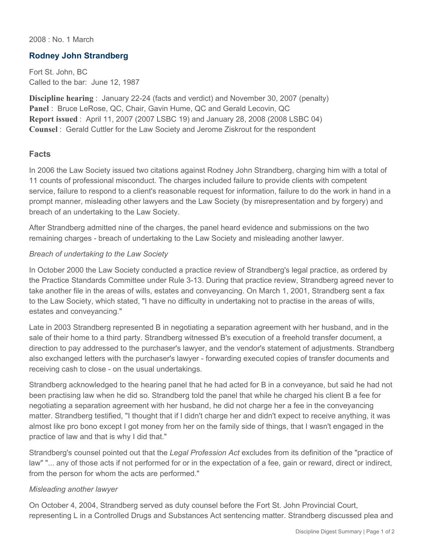2008 : No. 1 March

### **Rodney John Strandberg**

Fort St. John, BC Called to the bar: June 12, 1987

**Discipline hearing** : January 22-24 (facts and verdict) and November 30, 2007 (penalty) **Panel** : Bruce LeRose, QC, Chair, Gavin Hume, QC and Gerald Lecovin, QC **Report issued** : April 11, 2007 (2007 LSBC 19) and January 28, 2008 (2008 LSBC 04) **Counsel** : Gerald Cuttler for the Law Society and Jerome Ziskrout for the respondent

#### **Facts**

In 2006 the Law Society issued two citations against Rodney John Strandberg, charging him with a total of 11 counts of professional misconduct. The charges included failure to provide clients with competent service, failure to respond to a client's reasonable request for information, failure to do the work in hand in a prompt manner, misleading other lawyers and the Law Society (by misrepresentation and by forgery) and breach of an undertaking to the Law Society.

After Strandberg admitted nine of the charges, the panel heard evidence and submissions on the two remaining charges - breach of undertaking to the Law Society and misleading another lawyer.

#### *Breach of undertaking to the Law Society*

In October 2000 the Law Society conducted a practice review of Strandberg's legal practice, as ordered by the Practice Standards Committee under Rule 3-13. During that practice review, Strandberg agreed never to take another file in the areas of wills, estates and conveyancing. On March 1, 2001, Strandberg sent a fax to the Law Society, which stated, "I have no difficulty in undertaking not to practise in the areas of wills, estates and conveyancing."

Late in 2003 Strandberg represented B in negotiating a separation agreement with her husband, and in the sale of their home to a third party. Strandberg witnessed B's execution of a freehold transfer document, a direction to pay addressed to the purchaser's lawyer, and the vendor's statement of adjustments. Strandberg also exchanged letters with the purchaser's lawyer - forwarding executed copies of transfer documents and receiving cash to close - on the usual undertakings.

Strandberg acknowledged to the hearing panel that he had acted for B in a conveyance, but said he had not been practising law when he did so. Strandberg told the panel that while he charged his client B a fee for negotiating a separation agreement with her husband, he did not charge her a fee in the conveyancing matter. Strandberg testified, "I thought that if I didn't charge her and didn't expect to receive anything, it was almost like pro bono except I got money from her on the family side of things, that I wasn't engaged in the practice of law and that is why I did that."

Strandberg's counsel pointed out that the *Legal Profession Act* excludes from its definition of the "practice of law" "... any of those acts if not performed for or in the expectation of a fee, gain or reward, direct or indirect, from the person for whom the acts are performed."

#### *Misleading another lawyer*

On October 4, 2004, Strandberg served as duty counsel before the Fort St. John Provincial Court, representing L in a Controlled Drugs and Substances Act sentencing matter. Strandberg discussed plea and